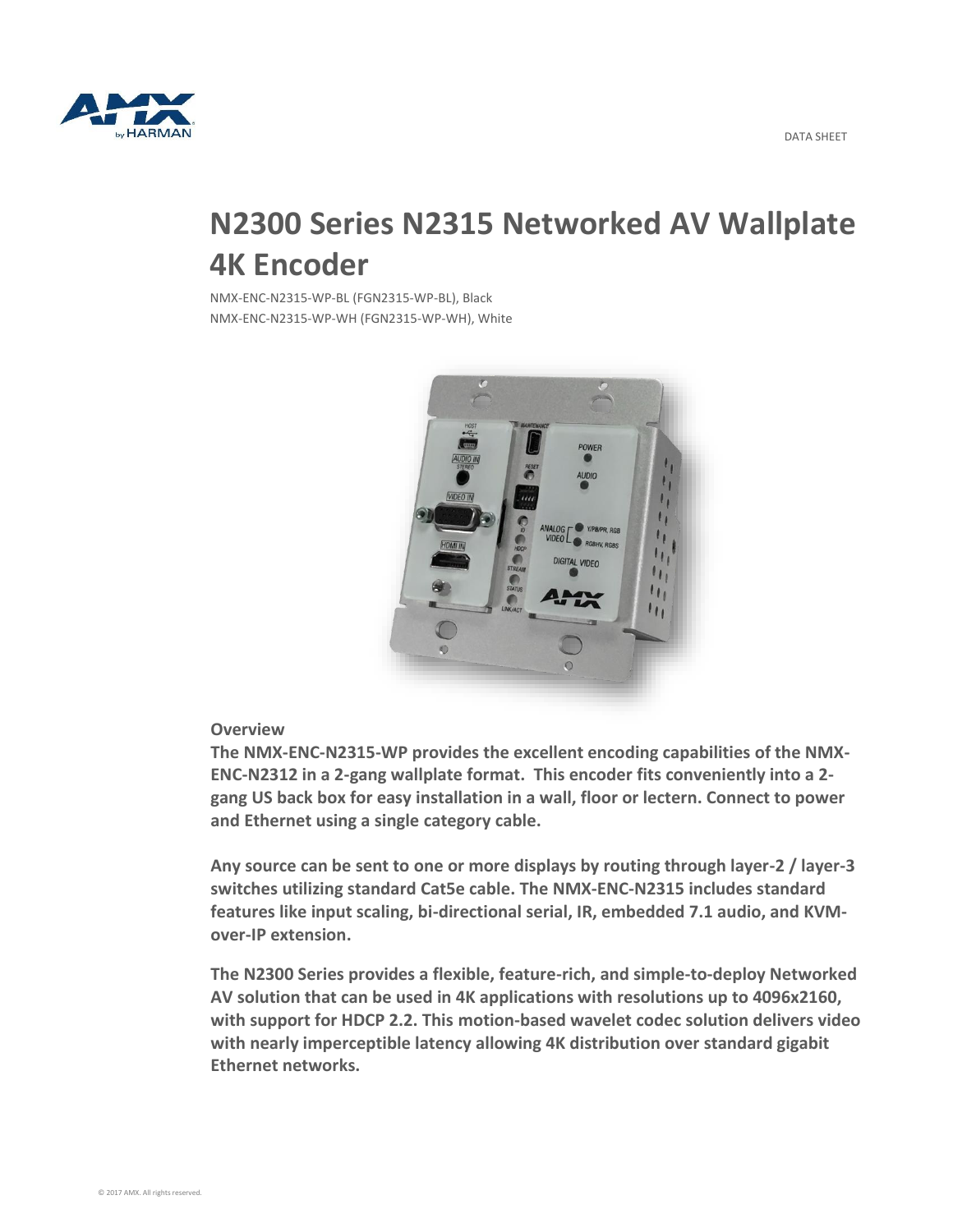

## **N2300 Series N2315 Networked AV Wallplate 4K Encoder**

NMX-ENC-N2315-WP-BL (FGN2315-WP-BL), Black NMX-ENC-N2315-WP-WH (FGN2315-WP-WH), White



## **Overview**

**The NMX-ENC-N2315-WP provides the excellent encoding capabilities of the NMX-ENC-N2312 in a 2-gang wallplate format. This encoder fits conveniently into a 2 gang US back box for easy installation in a wall, floor or lectern. Connect to power and Ethernet using a single category cable.**

**Any source can be sent to one or more displays by routing through layer-2 / layer-3 switches utilizing standard Cat5e cable. The NMX-ENC-N2315 includes standard features like input scaling, bi-directional serial, IR, embedded 7.1 audio, and KVMover-IP extension.**

**The N2300 Series provides a flexible, feature-rich, and simple-to-deploy Networked AV solution that can be used in 4K applications with resolutions up to 4096x2160, with support for HDCP 2.2. This motion-based wavelet codec solution delivers video with nearly imperceptible latency allowing 4K distribution over standard gigabit Ethernet networks.**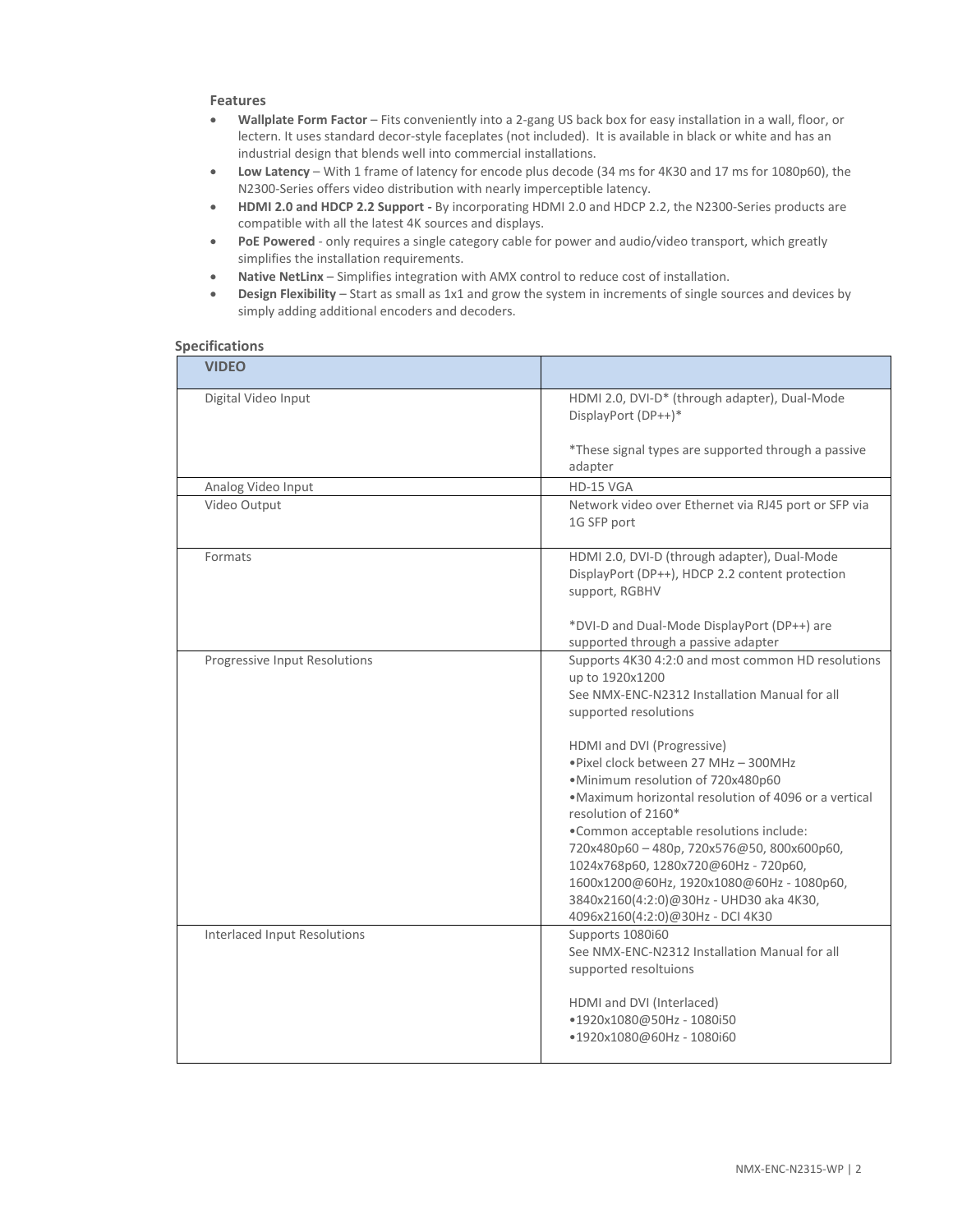## **Features**

- **Wallplate Form Factor**  Fits conveniently into a 2-gang US back box for easy installation in a wall, floor, or lectern. It uses standard decor-style faceplates (not included). It is available in black or white and has an industrial design that blends well into commercial installations.
- **Low Latency** With 1 frame of latency for encode plus decode (34 ms for 4K30 and 17 ms for 1080p60), the N2300-Series offers video distribution with nearly imperceptible latency.
- **HDMI 2.0 and HDCP 2.2 Support -** By incorporating HDMI 2.0 and HDCP 2.2, the N2300-Series products are compatible with all the latest 4K sources and displays.
- **PoE Powered** only requires a single category cable for power and audio/video transport, which greatly simplifies the installation requirements.
- **Native NetLinx**  Simplifies integration with AMX control to reduce cost of installation.
- **Design Flexibility** Start as small as 1x1 and grow the system in increments of single sources and devices by simply adding additional encoders and decoders.

## **Specifications**

| <b>VIDEO</b>                        |                                                                                                                                                                                                                                                                                                                                                                                                                                                                                                                                                                                                         |
|-------------------------------------|---------------------------------------------------------------------------------------------------------------------------------------------------------------------------------------------------------------------------------------------------------------------------------------------------------------------------------------------------------------------------------------------------------------------------------------------------------------------------------------------------------------------------------------------------------------------------------------------------------|
| Digital Video Input                 | HDMI 2.0, DVI-D* (through adapter), Dual-Mode<br>DisplayPort (DP++)*                                                                                                                                                                                                                                                                                                                                                                                                                                                                                                                                    |
|                                     | *These signal types are supported through a passive<br>adapter                                                                                                                                                                                                                                                                                                                                                                                                                                                                                                                                          |
| Analog Video Input                  | HD-15 VGA                                                                                                                                                                                                                                                                                                                                                                                                                                                                                                                                                                                               |
| Video Output                        | Network video over Ethernet via RJ45 port or SFP via<br>1G SFP port                                                                                                                                                                                                                                                                                                                                                                                                                                                                                                                                     |
| Formats                             | HDMI 2.0, DVI-D (through adapter), Dual-Mode<br>DisplayPort (DP++), HDCP 2.2 content protection<br>support, RGBHV<br>*DVI-D and Dual-Mode DisplayPort (DP++) are                                                                                                                                                                                                                                                                                                                                                                                                                                        |
|                                     | supported through a passive adapter                                                                                                                                                                                                                                                                                                                                                                                                                                                                                                                                                                     |
| Progressive Input Resolutions       | Supports 4K30 4:2:0 and most common HD resolutions<br>up to 1920x1200<br>See NMX-ENC-N2312 Installation Manual for all<br>supported resolutions<br>HDMI and DVI (Progressive)<br>. Pixel clock between 27 MHz - 300MHz<br>·Minimum resolution of 720x480p60<br>. Maximum horizontal resolution of 4096 or a vertical<br>resolution of 2160*<br>. Common acceptable resolutions include:<br>720x480p60-480p, 720x576@50, 800x600p60,<br>1024x768p60, 1280x720@60Hz - 720p60,<br>1600x1200@60Hz, 1920x1080@60Hz - 1080p60,<br>3840x2160(4:2:0)@30Hz - UHD30 aka 4K30,<br>4096x2160(4:2:0)@30Hz - DCI 4K30 |
| <b>Interlaced Input Resolutions</b> | Supports 1080i60<br>See NMX-ENC-N2312 Installation Manual for all<br>supported resoltuions<br>HDMI and DVI (Interlaced)<br>●1920x1080@50Hz - 1080i50<br>●1920x1080@60Hz - 1080i60                                                                                                                                                                                                                                                                                                                                                                                                                       |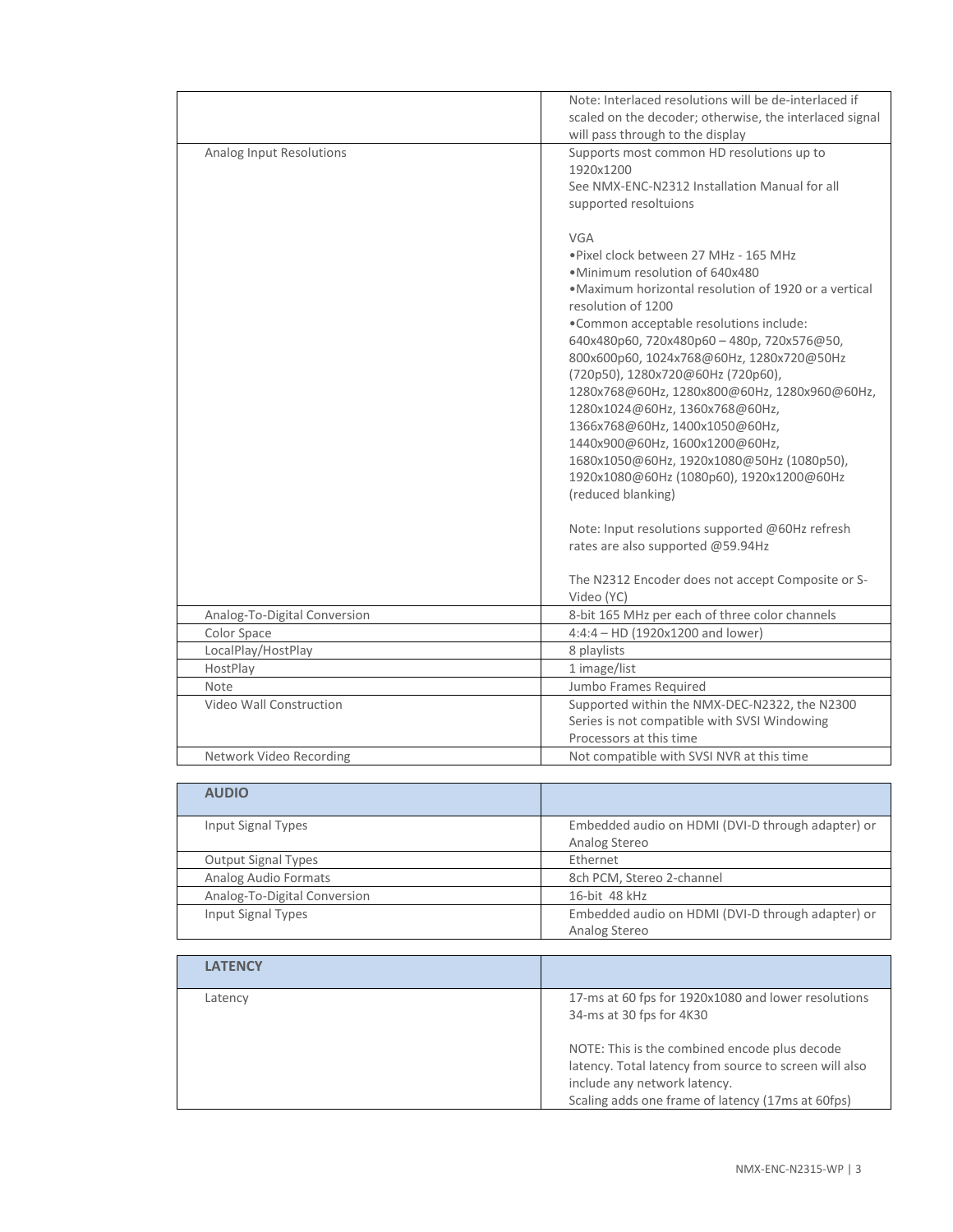|                              | Note: Interlaced resolutions will be de-interlaced if   |
|------------------------------|---------------------------------------------------------|
|                              | scaled on the decoder; otherwise, the interlaced signal |
|                              | will pass through to the display                        |
| Analog Input Resolutions     | Supports most common HD resolutions up to               |
|                              | 1920x1200                                               |
|                              | See NMX-ENC-N2312 Installation Manual for all           |
|                              | supported resoltuions                                   |
|                              |                                                         |
|                              | VGA                                                     |
|                              | . Pixel clock between 27 MHz - 165 MHz                  |
|                              | ·Minimum resolution of 640x480                          |
|                              | •Maximum horizontal resolution of 1920 or a vertical    |
|                              | resolution of 1200                                      |
|                              | . Common acceptable resolutions include:                |
|                              | 640x480p60, 720x480p60-480p, 720x576@50,                |
|                              | 800x600p60, 1024x768@60Hz, 1280x720@50Hz                |
|                              | (720p50), 1280x720@60Hz (720p60),                       |
|                              | 1280x768@60Hz, 1280x800@60Hz, 1280x960@60Hz,            |
|                              | 1280x1024@60Hz, 1360x768@60Hz,                          |
|                              | 1366x768@60Hz, 1400x1050@60Hz,                          |
|                              | 1440x900@60Hz, 1600x1200@60Hz,                          |
|                              | 1680x1050@60Hz, 1920x1080@50Hz (1080p50),               |
|                              | 1920x1080@60Hz (1080p60), 1920x1200@60Hz                |
|                              | (reduced blanking)                                      |
|                              |                                                         |
|                              | Note: Input resolutions supported @60Hz refresh         |
|                              | rates are also supported @59.94Hz                       |
|                              |                                                         |
|                              | The N2312 Encoder does not accept Composite or S-       |
|                              | Video (YC)                                              |
| Analog-To-Digital Conversion | 8-bit 165 MHz per each of three color channels          |
| Color Space                  | 4:4:4 - HD (1920x1200 and lower)                        |
| LocalPlay/HostPlay           | 8 playlists                                             |
| HostPlay                     | 1 image/list                                            |
| Note                         | Jumbo Frames Required                                   |
| Video Wall Construction      | Supported within the NMX-DEC-N2322, the N2300           |
|                              | Series is not compatible with SVSI Windowing            |
|                              | Processors at this time                                 |
| Network Video Recording      | Not compatible with SVSI NVR at this time               |
|                              |                                                         |
| <b>AUDIO</b>                 |                                                         |
|                              |                                                         |
| <b>Input Signal Types</b>    | Embedded audio on HDMI (DVI-D through adapter) or       |

| <b>AUDIO</b>                 |                                                   |
|------------------------------|---------------------------------------------------|
| Input Signal Types           | Embedded audio on HDMI (DVI-D through adapter) or |
|                              | Analog Stereo                                     |
| <b>Output Signal Types</b>   | Ethernet                                          |
| Analog Audio Formats         | 8ch PCM, Stereo 2-channel                         |
| Analog-To-Digital Conversion | 16-bit 48 kHz                                     |
| <b>Input Signal Types</b>    | Embedded audio on HDMI (DVI-D through adapter) or |
|                              | Analog Stereo                                     |

| <b>LATENCY</b> |                                                                                                                                                                                              |
|----------------|----------------------------------------------------------------------------------------------------------------------------------------------------------------------------------------------|
| Latency        | 17-ms at 60 fps for 1920x1080 and lower resolutions<br>34-ms at 30 fps for 4K30                                                                                                              |
|                | NOTE: This is the combined encode plus decode<br>latency. Total latency from source to screen will also<br>include any network latency.<br>Scaling adds one frame of latency (17ms at 60fps) |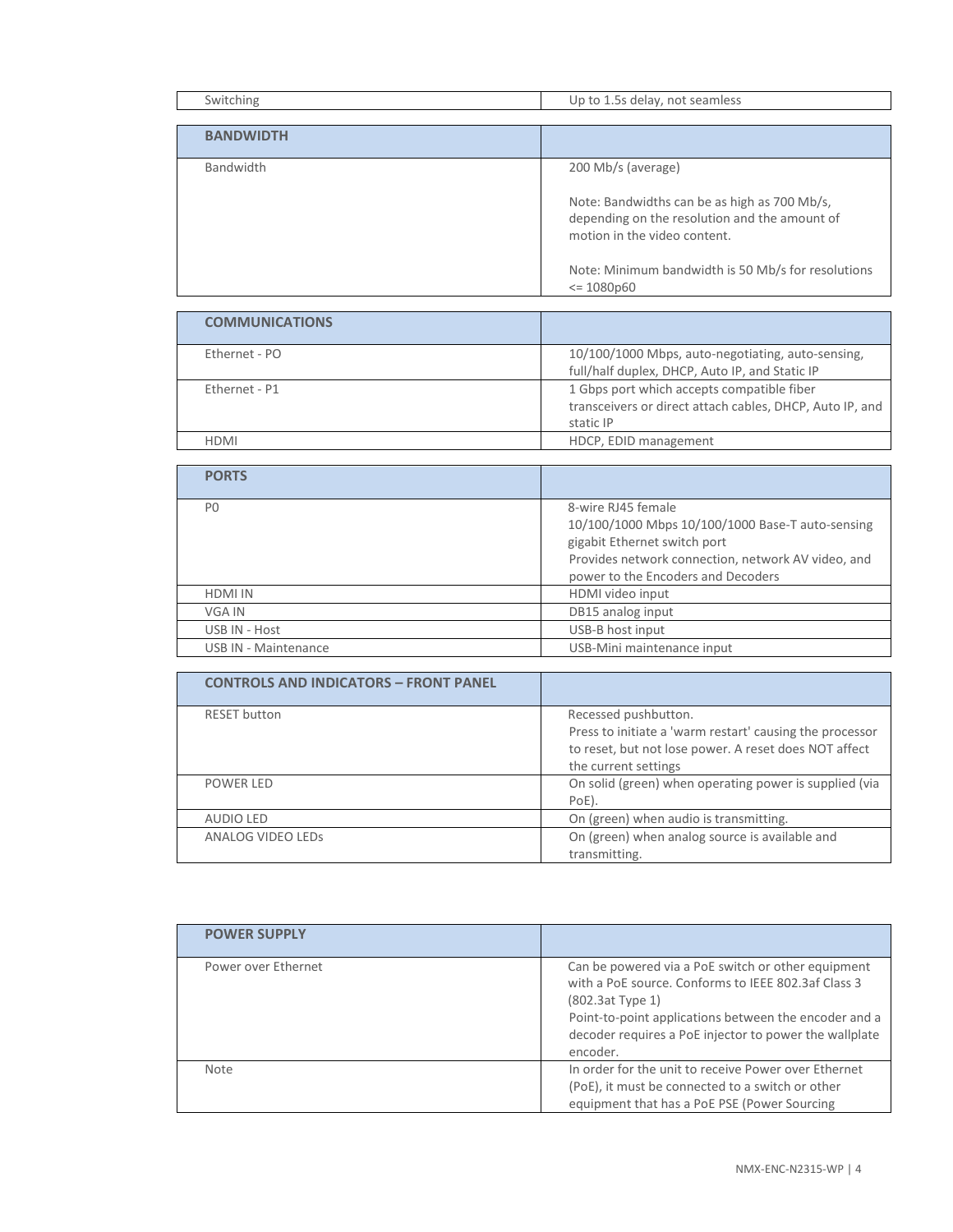| Switching             | Up to 1.5s delay, not seamless                     |
|-----------------------|----------------------------------------------------|
|                       |                                                    |
| <b>BANDWIDTH</b>      |                                                    |
|                       |                                                    |
| Bandwidth             | 200 Mb/s (average)                                 |
|                       |                                                    |
|                       | Note: Bandwidths can be as high as 700 Mb/s,       |
|                       | depending on the resolution and the amount of      |
|                       | motion in the video content.                       |
|                       |                                                    |
|                       | Note: Minimum bandwidth is 50 Mb/s for resolutions |
|                       | $\leq 1080p60$                                     |
|                       |                                                    |
| <b>COMMUNICATIONS</b> |                                                    |

| Ethernet - PO | 10/100/1000 Mbps, auto-negotiating, auto-sensing,        |
|---------------|----------------------------------------------------------|
|               | full/half duplex, DHCP, Auto IP, and Static IP           |
| Ethernet - P1 | 1 Gbps port which accepts compatible fiber               |
|               | transceivers or direct attach cables, DHCP, Auto IP, and |
|               | static IP                                                |
| HDMI          | HDCP, EDID management                                    |

| <b>PORTS</b>         |                                                                                                                                                                                                    |
|----------------------|----------------------------------------------------------------------------------------------------------------------------------------------------------------------------------------------------|
| P <sub>0</sub>       | 8-wire RJ45 female<br>10/100/1000 Mbps 10/100/1000 Base-T auto-sensing<br>gigabit Ethernet switch port<br>Provides network connection, network AV video, and<br>power to the Encoders and Decoders |
| <b>HDMI IN</b>       | HDMI video input                                                                                                                                                                                   |
| VGA IN               | DB15 analog input                                                                                                                                                                                  |
| USB IN - Host        | USB-B host input                                                                                                                                                                                   |
| USB IN - Maintenance | USB-Mini maintenance input                                                                                                                                                                         |

| <b>CONTROLS AND INDICATORS - FRONT PANEL</b> |                                                          |
|----------------------------------------------|----------------------------------------------------------|
| <b>RESET</b> button                          | Recessed pushbutton.                                     |
|                                              | Press to initiate a 'warm restart' causing the processor |
|                                              | to reset, but not lose power. A reset does NOT affect    |
|                                              | the current settings                                     |
| <b>POWER LED</b>                             | On solid (green) when operating power is supplied (via   |
|                                              | PoE).                                                    |
| <b>AUDIO LED</b>                             | On (green) when audio is transmitting.                   |
| ANALOG VIDEO LEDS                            | On (green) when analog source is available and           |
|                                              | transmitting.                                            |

| <b>POWER SUPPLY</b> |                                                                                                                                                                                                                                                                |
|---------------------|----------------------------------------------------------------------------------------------------------------------------------------------------------------------------------------------------------------------------------------------------------------|
| Power over Ethernet | Can be powered via a PoE switch or other equipment<br>with a PoE source. Conforms to JEEE 802.3af Class 3<br>$(802.3at$ Type 1)<br>Point-to-point applications between the encoder and a<br>decoder requires a PoE injector to power the wallplate<br>encoder. |
| <b>Note</b>         | In order for the unit to receive Power over Ethernet<br>(PoE), it must be connected to a switch or other<br>equipment that has a PoE PSE (Power Sourcing                                                                                                       |